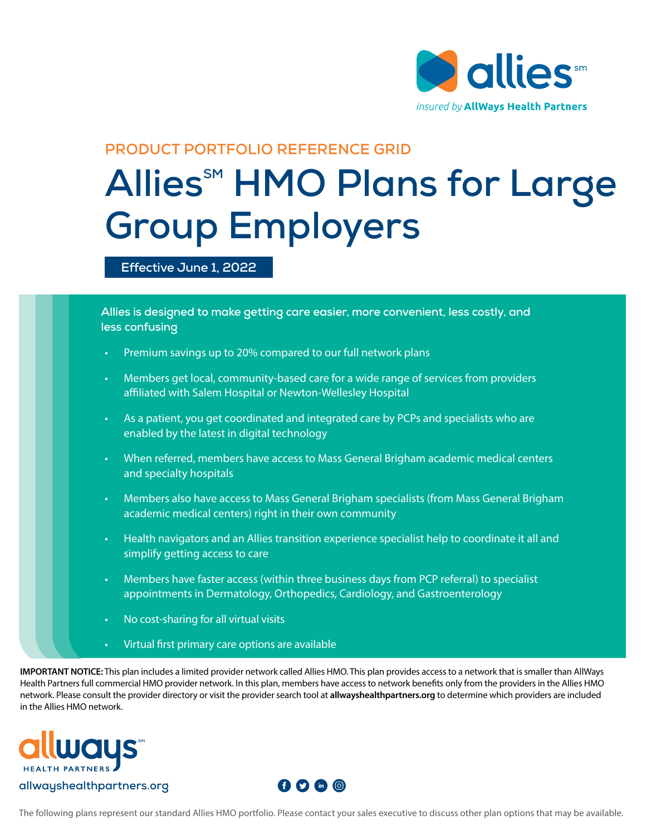

#### **PRODUCT PORTFOLIO REFERENCE GRID**

## **Allies<sup>SM</sup> HMO Plans for Large Group Employers**

**Effective June 1, 2022**

**Allies is designed to make getting care easier, more convenient, less costly, and less confusing**

- Premium savings up to 20% compared to our full network plans
- Members get local, community-based care for a wide range of services from providers affiliated with Salem Hospital or Newton-Wellesley Hospital
- As a patient, you get coordinated and integrated care by PCPs and specialists who are enabled by the latest in digital technology
- When referred, members have access to Mass General Brigham academic medical centers and specialty hospitals
- Members also have access to Mass General Brigham specialists (from Mass General Brigham academic medical centers) right in their own community
- Health navigators and an Allies transition experience specialist help to coordinate it all and simplify getting access to care
- Members have faster access (within three business days from PCP referral) to specialist appointments in Dermatology, Orthopedics, Cardiology, and Gastroenterology
- No cost-sharing for all virtual visits
	- Virtual first primary care options are available

**IMPORTANT NOTICE:** This plan includes a limited provider network called Allies HMO. This plan provides access to a network that is smaller than AllWays Health Partners full commercial HMO provider network. In this plan, members have access to network benefits only from the providers in the Allies HMO network. Please consult the provider directory or visit the provider search tool at **allwayshealthpartners.org** to determine which providers are included in the Allies HMO network.



#### **allwayshealthpartners.org**



The following plans represent our standard Allies HMO portfolio. Please contact your sales executive to discuss other plan options that may be available.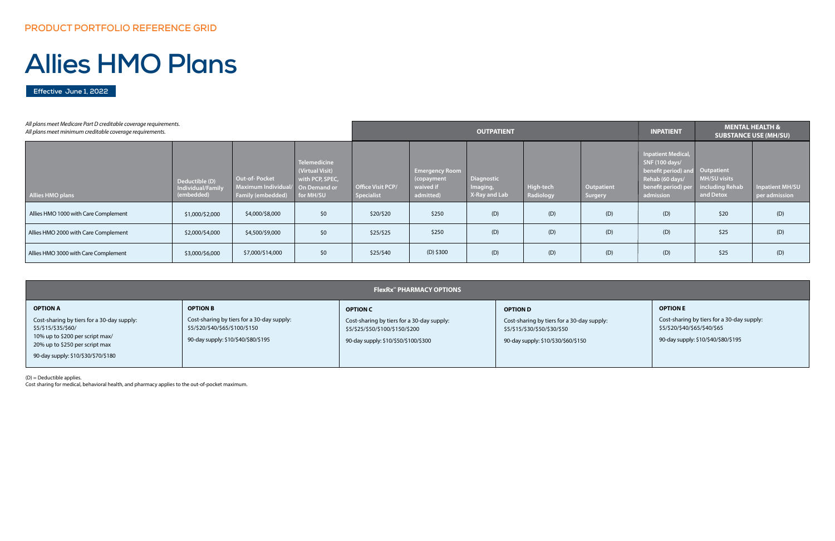**Effective June 1, 2022**

# **Allies HMO Plans**

(D) = Deductible applies.

Cost sharing for medical, behavioral health, and pharmacy applies to the out-of-pocket maximum.

| All plans meet Medicare Part D creditable coverage requirements.<br>All plans meet minimum creditable coverage requirements. |                                                   |                                                                       |                                                                                 | <b>OUTPATIENT</b>               |                                                               |                                         |                        | <b>INPATIENT</b>             |                                                                                                                           | <b>MENTAL HEALTH &amp;</b><br><b>SUBSTANCE USE (MH/SU)</b>        |                                         |
|------------------------------------------------------------------------------------------------------------------------------|---------------------------------------------------|-----------------------------------------------------------------------|---------------------------------------------------------------------------------|---------------------------------|---------------------------------------------------------------|-----------------------------------------|------------------------|------------------------------|---------------------------------------------------------------------------------------------------------------------------|-------------------------------------------------------------------|-----------------------------------------|
| Allies HMO plans                                                                                                             | Deductible (D)<br>Individual/Family<br>(embedded) | <b>Out-of-Pocket</b><br>Maximum Individua<br><b>Family (embedded)</b> | Telemedicine<br>(Virtual Visit)<br>with PCP, SPEC,<br>On Demand or<br>for MH/SU | Office Visit PCP/<br>Specialist | <b>Emergency Room</b><br>(copayment<br>waived if<br>admitted) | Diagnostic<br>Imaging,<br>X-Ray and Lab | High-tech<br>Radiology | Outpatient<br><b>Surgery</b> | <b>Inpatient Medical,</b><br>SNF (100 days/<br>benefit period) and<br>Rehab (60 days/<br>benefit period) per<br>admission | Outpatient<br><b>MH/SU visits</b><br>including Rehab<br>and Detox | <b>Inpatient MH/SU</b><br>per admission |
| Allies HMO 1000 with Care Complement                                                                                         | \$1,000/\$2,000                                   | \$4,000/\$8,000                                                       | \$0                                                                             | \$20/\$20                       | \$250                                                         | (D)                                     | (D)                    | (D)                          | (D)                                                                                                                       | \$20                                                              | (D)                                     |
| Allies HMO 2000 with Care Complement                                                                                         | \$2,000/\$4,000                                   | \$4,500/\$9,000                                                       | \$0                                                                             | \$25/\$25                       | \$250                                                         | (D)                                     | (D)                    | (D)                          | (D)                                                                                                                       | \$25                                                              | (D)                                     |
| Allies HMO 3000 with Care Complement                                                                                         | \$3,000/\$6,000                                   | \$7,000/\$14,000                                                      | \$0                                                                             | \$25/\$40                       | $(D)$ \$300                                                   | (D)                                     | (D)                    | (D)                          | (D)                                                                                                                       | \$25                                                              | (D)                                     |

|                                                                   | <b>FlexRx<sup>**</sup> PHARMACY OPTIONS</b>                                  |                                                                               |                                                                            |  |  |  |  |
|-------------------------------------------------------------------|------------------------------------------------------------------------------|-------------------------------------------------------------------------------|----------------------------------------------------------------------------|--|--|--|--|
| <b>OPTION A</b>                                                   | <b>OPTION B</b>                                                              | <b>OPTION C</b>                                                               | <b>OPTION D</b>                                                            |  |  |  |  |
| Cost-sharing by tiers for a 30-day supply:<br>\$5/\$15/\$35/\$60/ | Cost-sharing by tiers for a 30-day supply:<br>\$5/\$20/\$40/\$65/\$100/\$150 | Cost-sharing by tiers for a 30-day supply:<br>\$5/\$25/\$50/\$100/\$150/\$200 | Cost-sharing by tiers for a 30-day supply:<br>\$5/\$15/\$30/\$50/\$30/\$50 |  |  |  |  |
| 10% up to \$200 per script max/<br>20% up to \$250 per script max | 90-day supply: \$10/\$40/\$80/\$195                                          | 90-day supply: \$10/\$50/\$100/\$300                                          | 90-day supply: \$10/\$30/\$60/\$150                                        |  |  |  |  |
| 90-day supply: \$10/\$30/\$70/\$180                               |                                                                              |                                                                               |                                                                            |  |  |  |  |

#### **OPTION E**

Cost-sharing by tiers for a 30-day supply: \$5/\$20/\$40/\$65/\$40/\$65

90-day supply: \$10/\$40/\$80/\$195